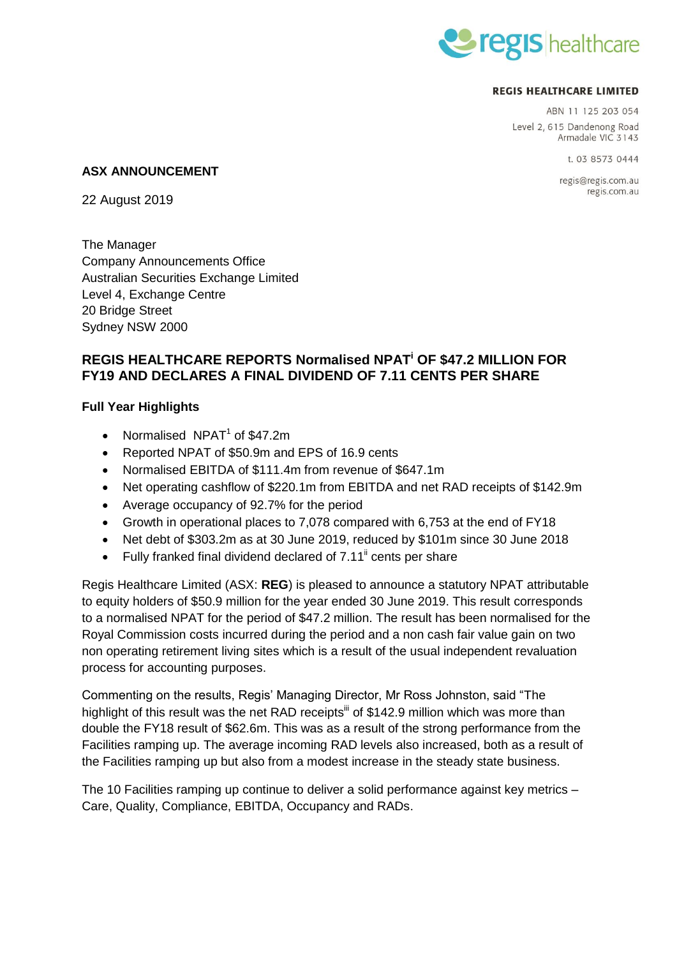

#### **REGIS HEALTHCARE LIMITED**

ABN 11 125 203 054 Level 2, 615 Dandenong Road Armadale VIC 3143

t 03 8573 0444

regis@regis.com.au regis.com.au

#### **ASX ANNOUNCEMENT**

22 August 2019

The Manager Company Announcements Office Australian Securities Exchange Limited Level 4, Exchange Centre 20 Bridge Street Sydney NSW 2000

# **REGIS HEALTHCARE REPORTS Normalised NPAT<sup>i</sup> OF \$47.2 MILLION FOR FY19 AND DECLARES A FINAL DIVIDEND OF 7.11 CENTS PER SHARE**

## **Full Year Highlights**

- Normalised  $NPATH<sup>1</sup>$  of \$47.2m
- Reported NPAT of \$50.9m and EPS of 16.9 cents
- Normalised EBITDA of \$111.4m from revenue of \$647.1m
- Net operating cashflow of \$220.1m from EBITDA and net RAD receipts of \$142.9m
- Average occupancy of 92.7% for the period
- Growth in operational places to 7,078 compared with 6,753 at the end of FY18
- Net debt of \$303.2m as at 30 June 2019, reduced by \$101m since 30 June 2018
- $\bullet$  Fully franked final dividend declared of 7.11<sup>"</sup> cents per share

Regis Healthcare Limited (ASX: **REG**) is pleased to announce a statutory NPAT attributable to equity holders of \$50.9 million for the year ended 30 June 2019. This result corresponds to a normalised NPAT for the period of \$47.2 million. The result has been normalised for the Royal Commission costs incurred during the period and a non cash fair value gain on two non operating retirement living sites which is a result of the usual independent revaluation process for accounting purposes.

Commenting on the results, Regis' Managing Director, Mr Ross Johnston, said "The highlight of this result was the net RAD receipts $\mathbf{u}$  of \$142.9 million which was more than double the FY18 result of \$62.6m. This was as a result of the strong performance from the Facilities ramping up. The average incoming RAD levels also increased, both as a result of the Facilities ramping up but also from a modest increase in the steady state business.

The 10 Facilities ramping up continue to deliver a solid performance against key metrics – Care, Quality, Compliance, EBITDA, Occupancy and RADs.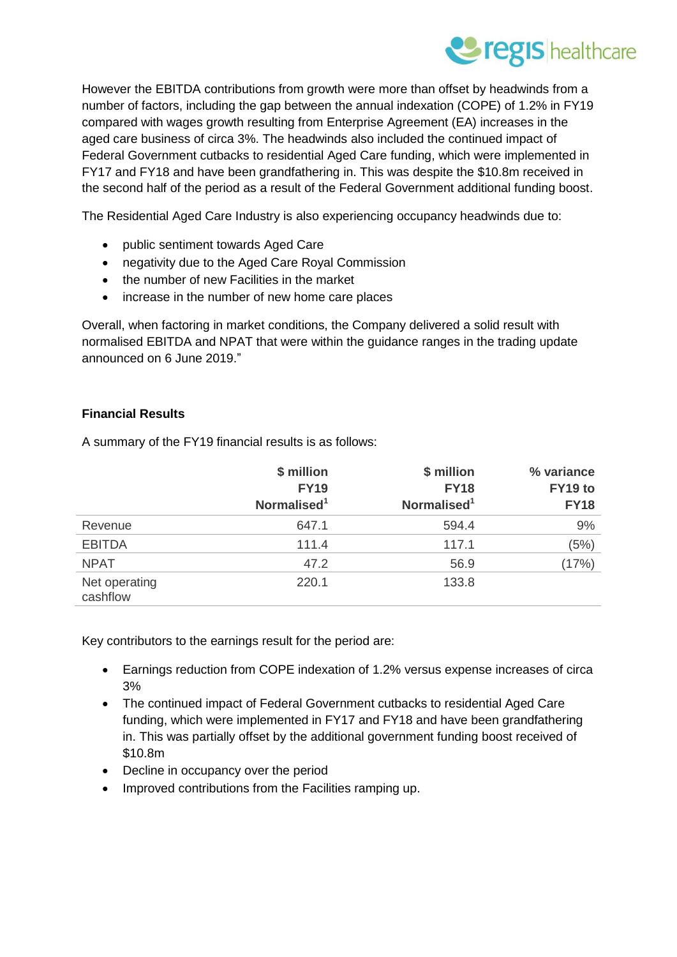

However the EBITDA contributions from growth were more than offset by headwinds from a number of factors, including the gap between the annual indexation (COPE) of 1.2% in FY19 compared with wages growth resulting from Enterprise Agreement (EA) increases in the aged care business of circa 3%. The headwinds also included the continued impact of Federal Government cutbacks to residential Aged Care funding, which were implemented in FY17 and FY18 and have been grandfathering in. This was despite the \$10.8m received in the second half of the period as a result of the Federal Government additional funding boost.

The Residential Aged Care Industry is also experiencing occupancy headwinds due to:

- public sentiment towards Aged Care
- negativity due to the Aged Care Royal Commission
- the number of new Facilities in the market
- increase in the number of new home care places

Overall, when factoring in market conditions, the Company delivered a solid result with normalised EBITDA and NPAT that were within the guidance ranges in the trading update announced on 6 June 2019."

## **Financial Results**

A summary of the FY19 financial results is as follows:

|                           | \$ million<br><b>FY19</b><br>Normalised <sup>1</sup> | \$ million<br><b>FY18</b><br>Normalised <sup>1</sup> | % variance<br>FY19 to<br><b>FY18</b> |
|---------------------------|------------------------------------------------------|------------------------------------------------------|--------------------------------------|
|                           |                                                      |                                                      |                                      |
| Revenue                   | 647.1                                                | 594.4                                                | 9%                                   |
| <b>EBITDA</b>             | 111.4                                                | 117.1                                                | (5%)                                 |
| <b>NPAT</b>               | 47.2                                                 | 56.9                                                 | (17%)                                |
| Net operating<br>cashflow | 220.1                                                | 133.8                                                |                                      |

Key contributors to the earnings result for the period are:

- Earnings reduction from COPE indexation of 1.2% versus expense increases of circa 3%
- The continued impact of Federal Government cutbacks to residential Aged Care funding, which were implemented in FY17 and FY18 and have been grandfathering in. This was partially offset by the additional government funding boost received of \$10.8m
- Decline in occupancy over the period
- Improved contributions from the Facilities ramping up.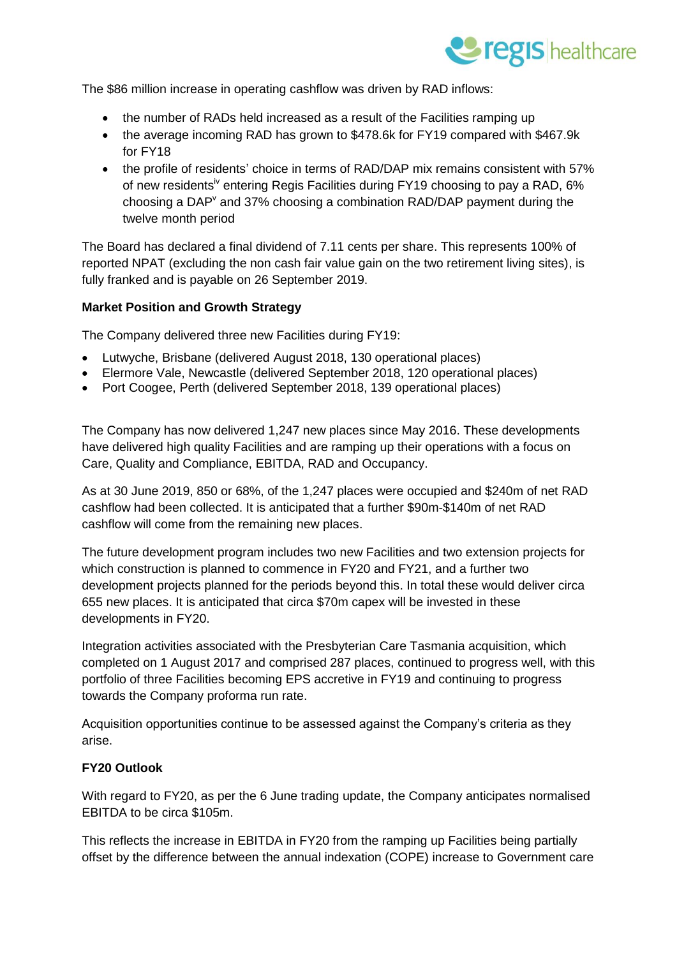

The \$86 million increase in operating cashflow was driven by RAD inflows:

- the number of RADs held increased as a result of the Facilities ramping up
- the average incoming RAD has grown to \$478.6k for FY19 compared with \$467.9k for FY18
- the profile of residents' choice in terms of RAD/DAP mix remains consistent with 57% of new residents<sup>iv</sup> entering Regis Facilities during FY19 choosing to pay a RAD, 6% choosing a DAP<sup>V</sup> and 37% choosing a combination RAD/DAP payment during the twelve month period

The Board has declared a final dividend of 7.11 cents per share. This represents 100% of reported NPAT (excluding the non cash fair value gain on the two retirement living sites), is fully franked and is payable on 26 September 2019.

#### **Market Position and Growth Strategy**

The Company delivered three new Facilities during FY19:

- Lutwyche, Brisbane (delivered August 2018, 130 operational places)
- Elermore Vale, Newcastle (delivered September 2018, 120 operational places)
- Port Coogee, Perth (delivered September 2018, 139 operational places)

The Company has now delivered 1,247 new places since May 2016. These developments have delivered high quality Facilities and are ramping up their operations with a focus on Care, Quality and Compliance, EBITDA, RAD and Occupancy.

As at 30 June 2019, 850 or 68%, of the 1,247 places were occupied and \$240m of net RAD cashflow had been collected. It is anticipated that a further \$90m-\$140m of net RAD cashflow will come from the remaining new places.

The future development program includes two new Facilities and two extension projects for which construction is planned to commence in FY20 and FY21, and a further two development projects planned for the periods beyond this. In total these would deliver circa 655 new places. It is anticipated that circa \$70m capex will be invested in these developments in FY20.

Integration activities associated with the Presbyterian Care Tasmania acquisition, which completed on 1 August 2017 and comprised 287 places, continued to progress well, with this portfolio of three Facilities becoming EPS accretive in FY19 and continuing to progress towards the Company proforma run rate.

Acquisition opportunities continue to be assessed against the Company's criteria as they arise.

### **FY20 Outlook**

With regard to FY20, as per the 6 June trading update, the Company anticipates normalised EBITDA to be circa \$105m.

This reflects the increase in EBITDA in FY20 from the ramping up Facilities being partially offset by the difference between the annual indexation (COPE) increase to Government care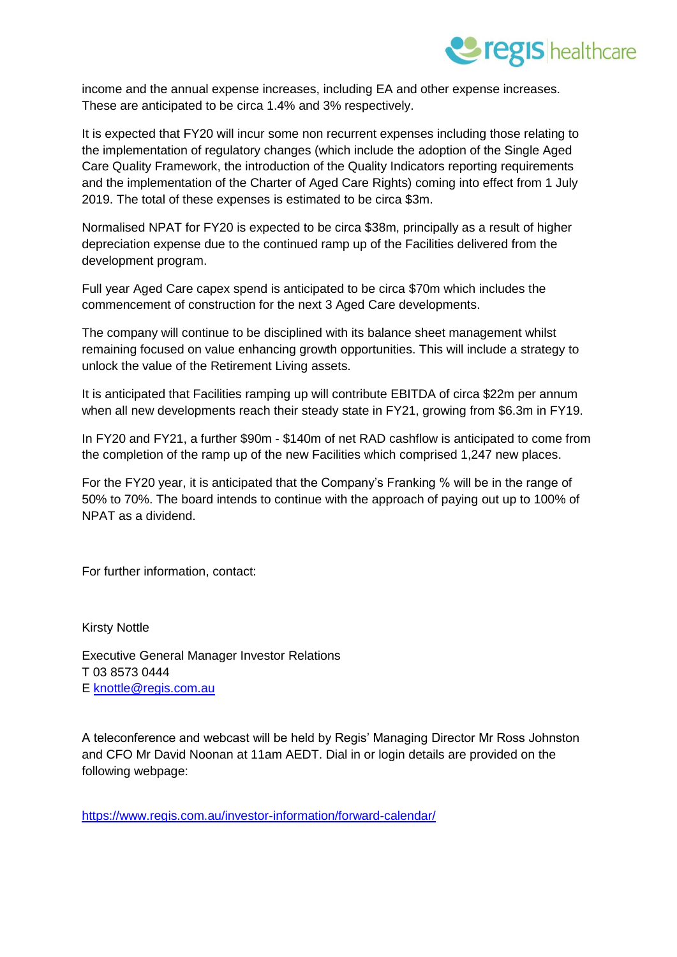

income and the annual expense increases, including EA and other expense increases. These are anticipated to be circa 1.4% and 3% respectively.

It is expected that FY20 will incur some non recurrent expenses including those relating to the implementation of regulatory changes (which include the adoption of the Single Aged Care Quality Framework, the introduction of the Quality Indicators reporting requirements and the implementation of the Charter of Aged Care Rights) coming into effect from 1 July 2019. The total of these expenses is estimated to be circa \$3m.

Normalised NPAT for FY20 is expected to be circa \$38m, principally as a result of higher depreciation expense due to the continued ramp up of the Facilities delivered from the development program.

Full year Aged Care capex spend is anticipated to be circa \$70m which includes the commencement of construction for the next 3 Aged Care developments.

The company will continue to be disciplined with its balance sheet management whilst remaining focused on value enhancing growth opportunities. This will include a strategy to unlock the value of the Retirement Living assets.

It is anticipated that Facilities ramping up will contribute EBITDA of circa \$22m per annum when all new developments reach their steady state in FY21, growing from \$6.3m in FY19.

In FY20 and FY21, a further \$90m - \$140m of net RAD cashflow is anticipated to come from the completion of the ramp up of the new Facilities which comprised 1,247 new places.

For the FY20 year, it is anticipated that the Company's Franking % will be in the range of 50% to 70%. The board intends to continue with the approach of paying out up to 100% of NPAT as a dividend.

For further information, contact:

Kirsty Nottle

Executive General Manager Investor Relations T 03 8573 0444 E [knottle@regis.com.au](mailto:knottle@regis.com.au)

A teleconference and webcast will be held by Regis' Managing Director Mr Ross Johnston and CFO Mr David Noonan at 11am AEDT. Dial in or login details are provided on the following webpage:

<https://www.regis.com.au/investor-information/forward-calendar/>